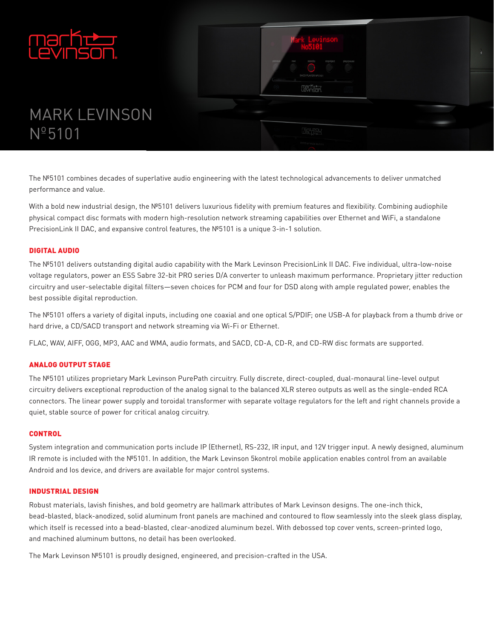



# **MARK LEVINSON**  $N^{\circ}5101$

The Nº5101 combines decades of superlative audio engineering with the latest technological advancements to deliver unmatched performance and value.

With a bold new industrial design, the Nº5101 delivers luxurious fidelity with premium features and flexibility. Combining audiophile physical compact disc formats with modern high-resolution network streaming capabilities over Ethernet and WiFi, a standalone Precision Link II DAC, and expansive control features, the Nº5101 is a unique 3-in-1 solution.

## **DIGITAL AUDIO**

The Nº5101 delivers outstanding digital audio capability with the Mark Levinson PrecisionLink II DAC. Five individual, ultra-low-noise voltage regulators, power an ESS Sabre 32-bit PRO series D/A converter to unleash maximum performance. Proprietary jitter reduction circuitry and user-selectable digital filters-seven choices for PCM and four for DSD along with ample regulated power, enables the best possible digital reproduction.

The Nº5101 offers a variety of digital inputs, including one coaxial and one optical S/PDIF; one USB-A for playback from a thumb drive or hard drive, a CD/SACD transport and network streaming via Wi-Fi or Ethernet.

FLAC, WAV, AIFF, OGG, MP3, AAC and WMA, audio formats, and SACD, CD-A, CD-R, and CD-RW disc formats are supported.

## **ANALOG OUTPUT STAGE**

The Nº5101 utilizes proprietary Mark Levinson PurePath circuitry. Fully discrete, direct-coupled, dual-monaural line-level output circuitry delivers exceptional reproduction of the analog signal to the balanced XLR stereo outputs as well as the single-ended RCA connectors. The linear power supply and toroidal transformer with separate voltage regulators for the left and right channels provide a quiet, stable source of power for critical analog circuitry.

#### **CONTROL**

System integration and communication ports include IP (Ethernet), RS-232, IR input, and 12V trigger input. A newly designed, aluminum IR remote is included with the Nº5101. In addition, the Mark Levinson 5kontrol mobile application enables control from an available Android and los device, and drivers are available for major control systems.

#### **INDUSTRIAL DESIGN**

Robust materials, lavish finishes, and bold geometry are hallmark attributes of Mark Levinson designs. The one-inch thick, bead-blasted, black-anodized, solid aluminum front panels are machined and contoured to flow seamlessly into the sleek glass display, which itself is recessed into a bead-blasted, clear-anodized aluminum bezel. With debossed top cover vents, screen-printed logo, and machined aluminum buttons, no detail has been overlooked.

The Mark Levinson Nº5101 is proudly designed, engineered, and precision-crafted in the USA.